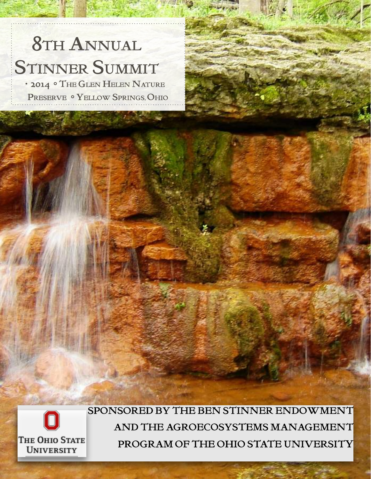# 8TH ANNUAL STINNER SUMMIT

· 2014 ° THE GLEN HELEN NATURE PRESERVE <sup>o</sup> YELLOW SPRINGS, OHIO



SPONSORED BY THE BEN STINNER ENDOWMENT AND THE AGROECOSYSTEMS MANAGEMENT PROGRAM OF THE OHIO STATE UNIVERSITY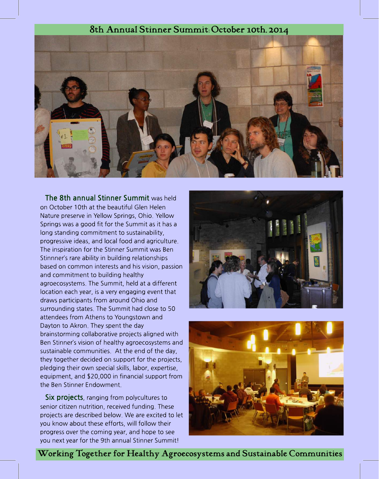## 8th Annual Stinner Summit:October 10th,2014



The 8th annual Stinner Summit was held on October 10th at the beautiful Glen Helen Nature preserve in Yellow Springs, Ohio. Yellow Springs was a good fit for the Summit as it has a long standing commitment to sustainability, progressive ideas, and local food and agriculture. The inspiration for the Stinner Summit was Ben Stinnner's rare ability in building relationships based on common interests and his vision, passion and commitment to building healthy agroecosystems. The Summit, held at a different location each year, is a very engaging event that draws participants from around Ohio and surrounding states. The Summit had close to 50 attendees from Athens to Youngstown and Dayton to Akron. They spent the day brainstorming collaborative projects aligned with Ben Stinner?s vision of healthy agroecosystems and sustainable communities. At the end of the day, they together decided on support for the projects, pledging their own special skills, labor, expertise, equipment, and \$20,000 in financial support from the Ben Stinner Endowment.

**Six projects**, ranging from polycultures to senior citizen nutrition, received funding. These projects are described below. We are excited to let you know about these efforts, will follow their progress over the coming year, and hope to see you next year for the 9th annual Stinner Summit!





Working Together for Healthy Agroecosystems and Sustainable Communities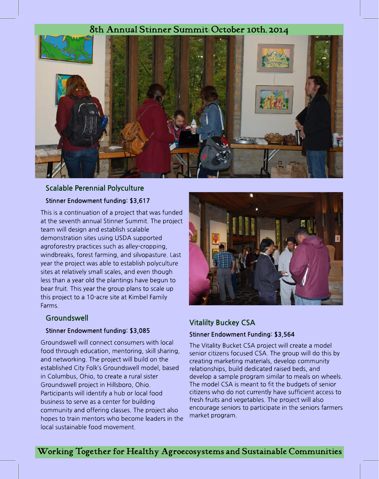# 8th Annual Stinner Summit:October 10th,2014



# Scalable Perennial Polyculture Stinner Endowment funding: \$3,617

This is a continuation of a project that was funded at the seventh annual Stinner Summit. The project team will design and establish scalable demonstration sites using USDA supported agroforestry practices such as alley-cropping, windbreaks, forest farming, and silvopasture. Last year the project was able to establish polyculture sites at relatively small scales, and even though less than a year old the plantings have begun to bear fruit. This year the group plans to scale up this project to a 10-acre site at Kimbel Family Farms.

#### **Groundswell**

#### Stinner Endowment funding: \$3,085

Groundswell will connect consumers with local food through education, mentoring, skill sharing, and networking. The project will build on the established City Folk?s Groundswell model, based in Columbus, Ohio, to create a rural sister Groundswell project in Hillsboro, Ohio. Participants will identify a hub or local food business to serve as a center for building community and offering classes. The project also hopes to train mentors who become leaders in the local sustainable food movement.



## Vitalilty Buckey CSA

#### Stinner Endowment Funding: \$3,564

The Vitality Bucket CSA project will create a model senior citizens focused CSA. The group will do this by creating marketing materials, develop community relationships, build dedicated raised beds, and develop a sample program similar to meals on wheels. The model CSA is meant to fit the budgets of senior citizens who do not currently have sufficient access to fresh fruits and vegetables. The project will also encourage seniors to participate in the seniors farmers market program.

Working Together for Healthy Agroecosystems and Sustainable Communities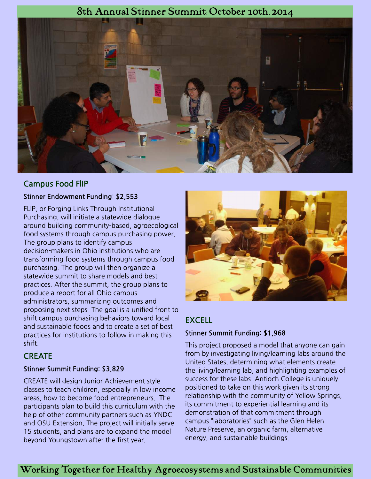## 8th Annual Stinner Summit:October 10th,2014



## Campus Food FlIP

#### Stinner Endowment Funding: \$2,553

FLIP, or Forging Links Through Institutional Purchasing, will initiate a statewide dialogue around building community-based, agroecological food systems through campus purchasing power. The group plans to identify campus decision-makers in Ohio institutions who are transforming food systems through campus food purchasing. The group will then organize a statewide summit to share models and best practices. After the summit, the group plans to produce a report for all Ohio campus administrators, summarizing outcomes and proposing next steps. The goal is a unified front to shift campus purchasing behaviors toward local and sustainable foods and to create a set of best practices for institutions to follow in making this shift.

#### **CREATE**

#### Stinner Summit Funding: \$3,829

CREATE will design Junior Achievement style classes to teach children, especially in low income areas, how to become food entrepreneurs. The participants plan to build this curriculum with the help of other community partners such as YNDC and OSU Extension. The project will initially serve 15 students, and plans are to expand the model beyond Youngstown after the first year.



## EXCELL

#### Stinner Summit Funding: \$1,968

This project proposed a model that anyone can gain from by investigating living/learning labs around the United States, determining what elements create the living/learning lab, and highlighting examples of success for these labs. Antioch College is uniquely positioned to take on this work given its strong relationship with the community of Yellow Springs, its commitment to experiential learning and its demonstration of that commitment through campus "laboratories" such as the Glen Helen Nature Preserve, an organic farm, alternative energy, and sustainable buildings.